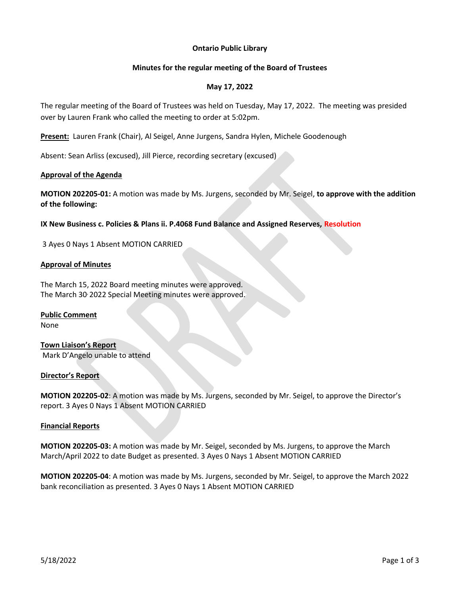## **Ontario Public Library**

## **Minutes for the regular meeting of the Board of Trustees**

## **May 17, 2022**

The regular meeting of the Board of Trustees was held on Tuesday, May 17, 2022. The meeting was presided over by Lauren Frank who called the meeting to order at 5:02pm.

**Present:** Lauren Frank (Chair), Al Seigel, Anne Jurgens, Sandra Hylen, Michele Goodenough

Absent: Sean Arliss (excused), Jill Pierce, recording secretary (excused)

## **Approval of the Agenda**

**MOTION 202205-01:** A motion was made by Ms. Jurgens, seconded by Mr. Seigel, **to approve with the addition of the following:**

**IX New Business c. Policies & Plans ii. P.4068 Fund Balance and Assigned Reserves, Resolution**

3 Ayes 0 Nays 1 Absent MOTION CARRIED

## **Approval of Minutes**

The March 15, 2022 Board meeting minutes were approved. The March 30<sup>,</sup> 2022 Special Meeting minutes were approved.

# **Public Comment**

None

**Town Liaison's Report** Mark D'Angelo unable to attend

### **Director's Report**

**MOTION 202205-02**: A motion was made by Ms. Jurgens, seconded by Mr. Seigel, to approve the Director's report. 3 Ayes 0 Nays 1 Absent MOTION CARRIED

### **Financial Reports**

**MOTION 202205-03:** A motion was made by Mr. Seigel, seconded by Ms. Jurgens, to approve the March March/April 2022 to date Budget as presented. 3 Ayes 0 Nays 1 Absent MOTION CARRIED

**MOTION 202205-04**: A motion was made by Ms. Jurgens, seconded by Mr. Seigel, to approve the March 2022 bank reconciliation as presented. 3 Ayes 0 Nays 1 Absent MOTION CARRIED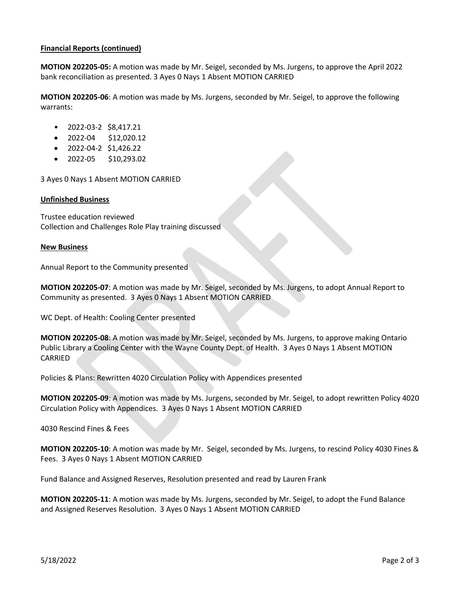## **Financial Reports (continued)**

**MOTION 202205-05:** A motion was made by Mr. Seigel, seconded by Ms. Jurgens, to approve the April 2022 bank reconciliation as presented. 3 Ayes 0 Nays 1 Absent MOTION CARRIED

**MOTION 202205-06**: A motion was made by Ms. Jurgens, seconded by Mr. Seigel, to approve the following warrants:

- 2022-03-2 \$8,417.21
- 2022-04 \$12,020.12
- 2022-04-2 \$1,426.22
- 2022-05 \$10,293.02

3 Ayes 0 Nays 1 Absent MOTION CARRIED

### **Unfinished Business**

Trustee education reviewed Collection and Challenges Role Play training discussed

#### **New Business**

Annual Report to the Community presented

**MOTION 202205-07**: A motion was made by Mr. Seigel, seconded by Ms. Jurgens, to adopt Annual Report to Community as presented. 3 Ayes 0 Nays 1 Absent MOTION CARRIED

WC Dept. of Health: Cooling Center presented

**MOTION 202205-08**: A motion was made by Mr. Seigel, seconded by Ms. Jurgens, to approve making Ontario Public Library a Cooling Center with the Wayne County Dept. of Health. 3 Ayes 0 Nays 1 Absent MOTION CARRIED

Policies & Plans: Rewritten 4020 Circulation Policy with Appendices presented

**MOTION 202205-09**: A motion was made by Ms. Jurgens, seconded by Mr. Seigel, to adopt rewritten Policy 4020 Circulation Policy with Appendices. 3 Ayes 0 Nays 1 Absent MOTION CARRIED

4030 Rescind Fines & Fees

**MOTION 202205-10**: A motion was made by Mr. Seigel, seconded by Ms. Jurgens, to rescind Policy 4030 Fines & Fees. 3 Ayes 0 Nays 1 Absent MOTION CARRIED

Fund Balance and Assigned Reserves, Resolution presented and read by Lauren Frank

**MOTION 202205-11**: A motion was made by Ms. Jurgens, seconded by Mr. Seigel, to adopt the Fund Balance and Assigned Reserves Resolution. 3 Ayes 0 Nays 1 Absent MOTION CARRIED